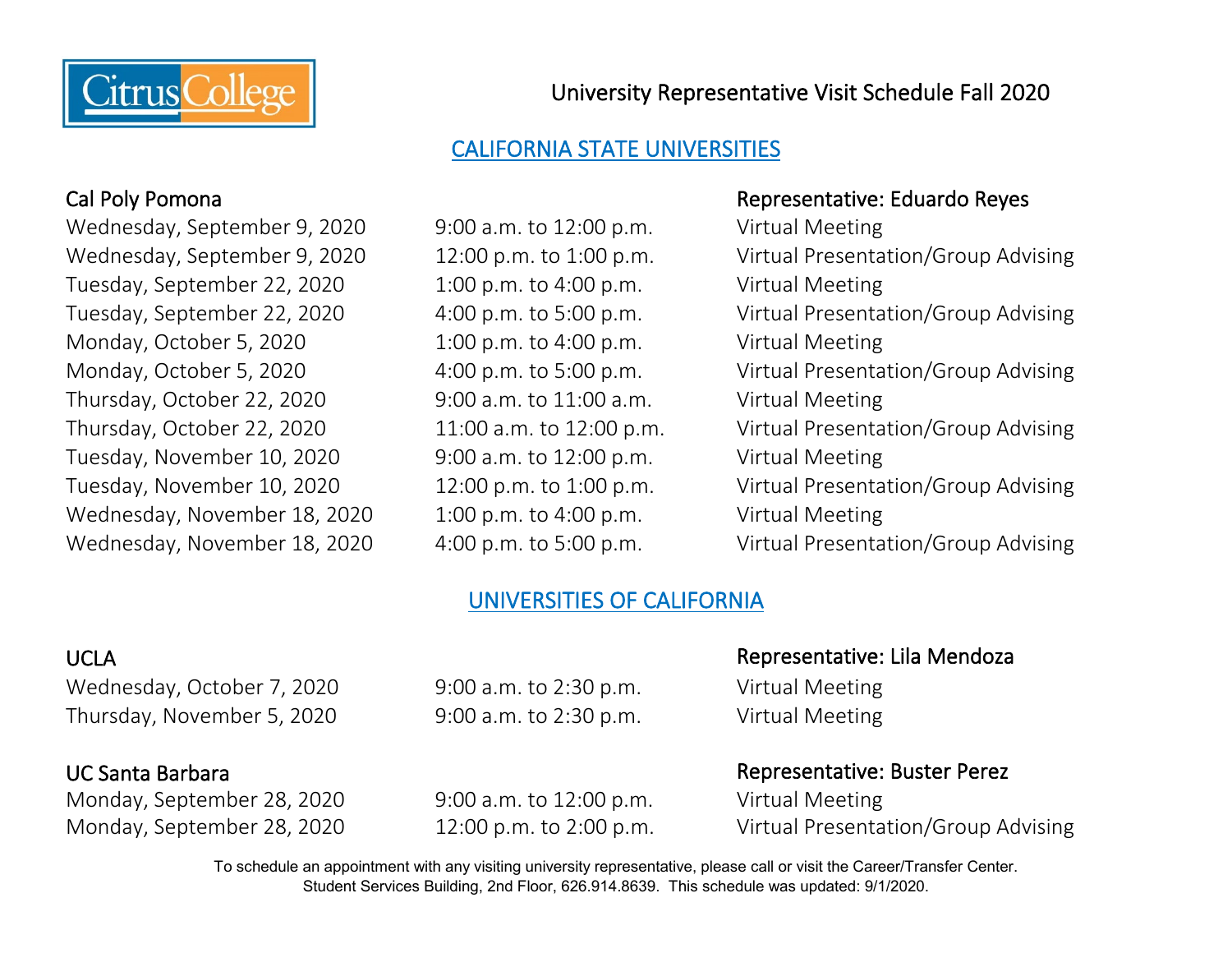

University Representative Visit Schedule Fall 2020

# CALIFORNIA STATE UNIVERSITIES

Wednesday, September 9, 2020 9:00 a.m. to 12:00 p.m. Virtual Meeting Tuesday, September 22, 2020 1:00 p.m. to 4:00 p.m. Virtual Meeting Monday, October 5, 2020 1:00 p.m. to 4:00 p.m. Virtual Meeting Thursday, October 22, 2020 9:00 a.m. to 11:00 a.m. Virtual Meeting Tuesday, November 10, 2020 9:00 a.m. to 12:00 p.m. Virtual Meeting Wednesday, November 18, 2020 1:00 p.m. to 4:00 p.m. Virtual Meeting

### Cal Poly Pomona Representative: Eduardo Reyes

Wednesday, September 9, 2020 12:00 p.m. to 1:00 p.m. Virtual Presentation/Group Advising Tuesday, September 22, 2020 4:00 p.m. to 5:00 p.m. Virtual Presentation/Group Advising Monday, October 5, 2020 4:00 p.m. to 5:00 p.m. Virtual Presentation/Group Advising Thursday, October 22, 2020 11:00 a.m. to 12:00 p.m. Virtual Presentation/Group Advising Tuesday, November 10, 2020 12:00 p.m. to 1:00 p.m. Virtual Presentation/Group Advising Wednesday, November 18, 2020 4:00 p.m. to 5:00 p.m. Virtual Presentation/Group Advising

## UNIVERSITIES OF CALIFORNIA

Wednesday, October 7, 2020 9:00 a.m. to 2:30 p.m. Virtual Meeting Thursday, November 5, 2020 9:00 a.m. to 2:30 p.m. Virtual Meeting

Monday, September 28, 2020 9:00 a.m. to 12:00 p.m. Virtual Meeting

### UCLA Representative: Lila Mendoza

UC Santa Barbara Representative: Buster Perez

Monday, September 28, 2020 12:00 p.m. to 2:00 p.m. Virtual Presentation/Group Advising

To schedule an appointment with any visiting university representative, please call or visit the Career/Transfer Center. Student Services Building, 2nd Floor, 626.914.8639. This schedule was updated: 9/1/2020.